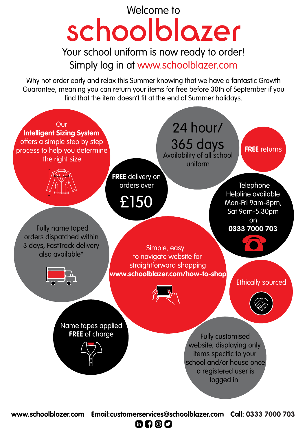# Welcome to<br>Schoololozer

Simply log in at www.schoolblazer.com Your school uniform is now ready to order!

Why not order early and relax this Summer knowing that we have a fantastic Growth Guarantee, meaning you can return your items for free before 30th of September if you find that the item doesn't fit at the end of Summer holidays.



**www.schoolblazer.com Email:customerservices@schoolblazer.com Call: 0333 7000 703**

6000